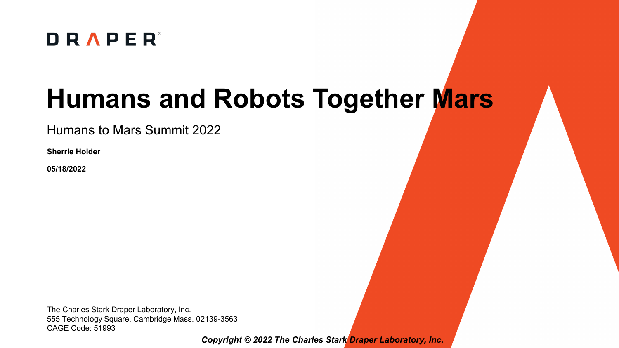

# **Humans and Robots Together Mars**

Humans to Mars Summit 2022

**Sherrie Holder**

**05/18/2022**

The Charles Stark Draper Laboratory, Inc. 555 Technology Square, Cambridge Mass. 02139-3563 CAGE Code: 51993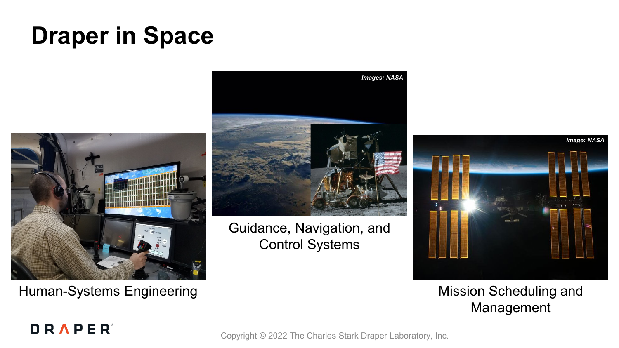## **Draper in Space**



Human-Systems Engineering



Guidance, Navigation, and Control Systems



#### Mission Scheduling and Management

#### **DRAPER**<sup>®</sup>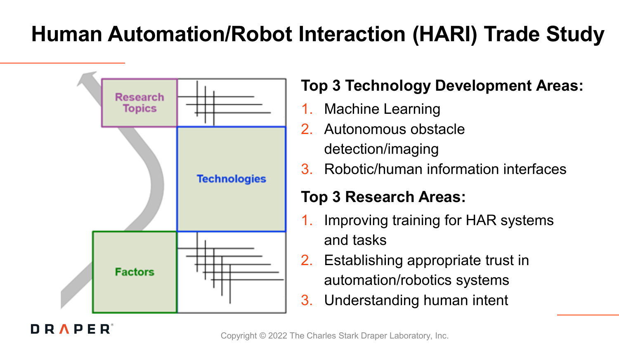### **Human Automation/Robot Interaction (HARI) Trade Study**



**DRAPER** 

### **Top 3 Technology Development Areas:**

- Machine Learning
- 2. Autonomous obstacle detection/imaging
- 3. Robotic/human information interfaces

### **Top 3 Research Areas:**

- Improving training for HAR systems and tasks
- 2. Establishing appropriate trust in automation/robotics systems
- 3. Understanding human intent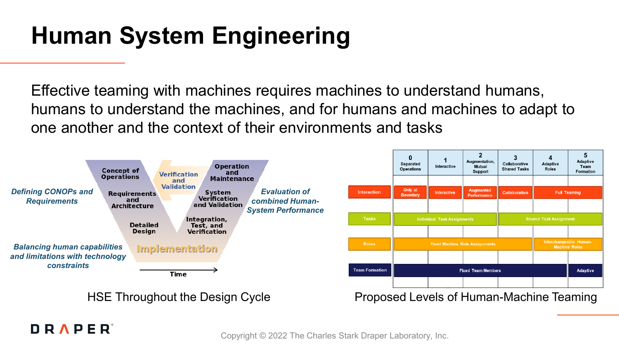## **Human System Engineering**

Effective teaming with machines requires machines to understand humans, humans to understand the machines, and for humans and machines to adapt to one another and the context of their environments and tasks



#### **DRAPER**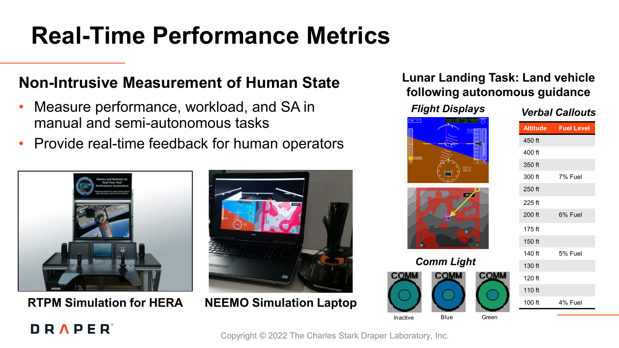# **Real-Time Performance Metrics**

### **Non-Intrusive Measurement of Human State**

- Measure performance, workload, and SA in manual and semi-autonomous tasks
- Provide real-time feedback for human operators



**RTPM Simulation for HERA NEEMO Simulation Laptop**



#### **Lunar Landing Task: Land vehicle following autonomous guidance**

#### *Verbal Callouts Flight Displays*







|          | <b>Altitude Fuel Level</b> |
|----------|----------------------------|
| 450 ft   |                            |
| 400 ft   |                            |
| 350 ft   |                            |
| 300 ft   | 7% Fuel                    |
| $250$ ft |                            |
| 225 ft   |                            |
| 200 ft   | 6% Fuel                    |
| $175$ ft |                            |
| 150 ft   |                            |
| $140$ ft | 5% Fuel                    |
| 130 ft   |                            |
| $120$ ft |                            |
| 110 ft   |                            |
| 100 ft   | 4% Fuel                    |
|          |                            |

#### **DRAPER**